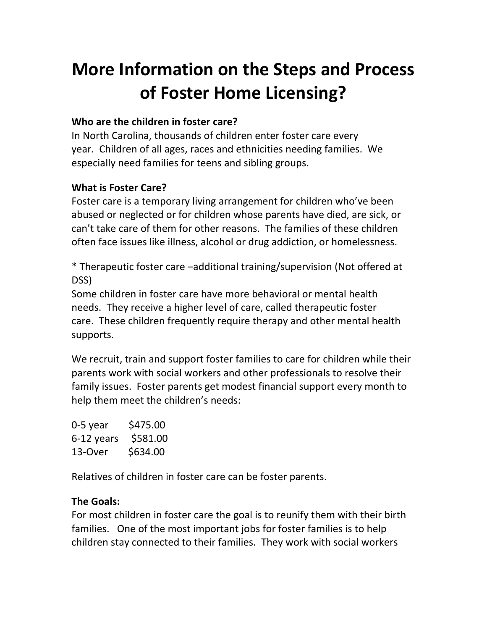# **More Information on the Steps and Process of Foster Home Licensing?**

## **Who are the children in foster care?**

In North Carolina, thousands of children enter foster care every year. Children of all ages, races and ethnicities needing families. We especially need families for teens and sibling groups.

## **What is Foster Care?**

Foster care is a temporary living arrangement for children who've been abused or neglected or for children whose parents have died, are sick, or can't take care of them for other reasons. The families of these children often face issues like illness, alcohol or drug addiction, or homelessness.

\* Therapeutic foster care –additional training/supervision (Not offered at DSS)

Some children in foster care have more behavioral or mental health needs. They receive a higher level of care, called therapeutic foster care. These children frequently require therapy and other mental health supports.

We recruit, train and support foster families to care for children while their parents work with social workers and other professionals to resolve their family issues. Foster parents get modest financial support every month to help them meet the children's needs:

| 0-5 year   | \$475.00 |
|------------|----------|
| 6-12 years | \$581.00 |
| 13-Over    | \$634.00 |

Relatives of children in foster care can be foster parents.

### **The Goals:**

For most children in foster care the goal is to reunify them with their birth families. One of the most important jobs for foster families is to help children stay connected to their families. They work with social workers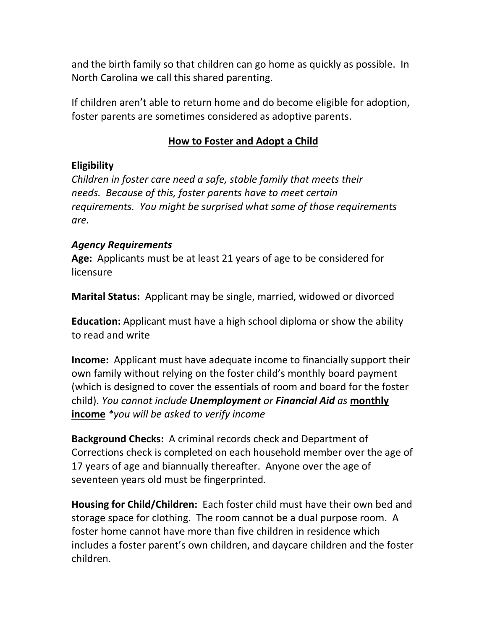and the birth family so that children can go home as quickly as possible. In North Carolina we call this shared parenting.

If children aren't able to return home and do become eligible for adoption, foster parents are sometimes considered as adoptive parents.

#### **How to Foster and Adopt a Child**

#### **Eligibility**

*Children in foster care need a safe, stable family that meets their needs. Because of this, foster parents have to meet certain requirements. You might be surprised what some of those requirements are.*

#### *Agency Requirements*

**Age:** Applicants must be at least 21 years of age to be considered for licensure

**Marital Status:** Applicant may be single, married, widowed or divorced

**Education:** Applicant must have a high school diploma or show the ability to read and write

**Income:** Applicant must have adequate income to financially support their own family without relying on the foster child's monthly board payment (which is designed to cover the essentials of room and board for the foster child). *You cannot include Unemployment or Financial Aid as* **monthly income** *\*you will be asked to verify income*

**Background Checks:** A criminal records check and Department of Corrections check is completed on each household member over the age of 17 years of age and biannually thereafter. Anyone over the age of seventeen years old must be fingerprinted.

**Housing for Child/Children:** Each foster child must have their own bed and storage space for clothing. The room cannot be a dual purpose room. A foster home cannot have more than five children in residence which includes a foster parent's own children, and daycare children and the foster children.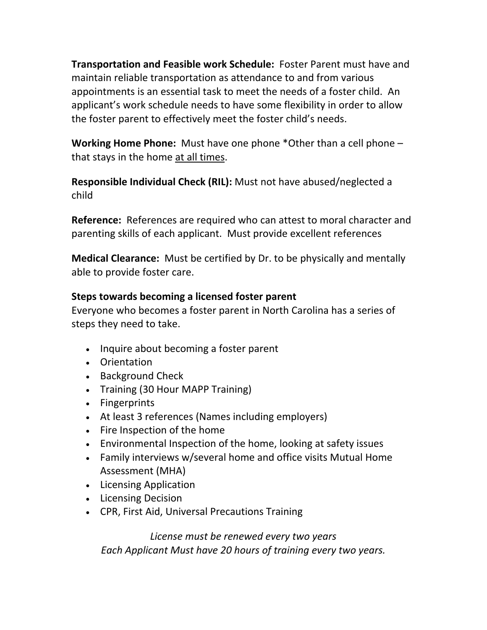**Transportation and Feasible work Schedule:** Foster Parent must have and maintain reliable transportation as attendance to and from various appointments is an essential task to meet the needs of a foster child. An applicant's work schedule needs to have some flexibility in order to allow the foster parent to effectively meet the foster child's needs.

**Working Home Phone:** Must have one phone \*Other than a cell phone – that stays in the home at all times.

**Responsible Individual Check (RIL):** Must not have abused/neglected a child

**Reference:** References are required who can attest to moral character and parenting skills of each applicant. Must provide excellent references

**Medical Clearance:** Must be certified by Dr. to be physically and mentally able to provide foster care.

### **Steps towards becoming a licensed foster parent**

Everyone who becomes a foster parent in North Carolina has a series of steps they need to take.

- Inquire about becoming a foster parent
- Orientation
- Background Check
- Training (30 Hour MAPP Training)
- Fingerprints
- At least 3 references (Names including employers)
- Fire Inspection of the home
- Environmental Inspection of the home, looking at safety issues
- Family interviews w/several home and office visits Mutual Home Assessment (MHA)
- Licensing Application
- Licensing Decision
- CPR, First Aid, Universal Precautions Training

*License must be renewed every two years Each Applicant Must have 20 hours of training every two years.*